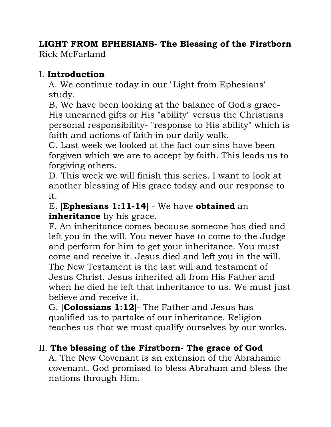# **LIGHT FROM EPHESIANS- The Blessing of the Firstborn**

Rick McFarland

## I. **Introduction**

A. We continue today in our "Light from Ephesians" study.

B. We have been looking at the balance of God's grace-His unearned gifts or His "ability" versus the Christians personal responsibility- "response to His ability" which is faith and actions of faith in our daily walk.

C. Last week we looked at the fact our sins have been forgiven which we are to accept by faith. This leads us to forgiving others.

D. This week we will finish this series. I want to look at another blessing of His grace today and our response to it.

## E. [**Ephesians 1:11-14**] - We have **obtained** an **inheritance** by his grace.

F. An inheritance comes because someone has died and left you in the will. You never have to come to the Judge and perform for him to get your inheritance. You must come and receive it. Jesus died and left you in the will. The New Testament is the last will and testament of Jesus Christ. Jesus inherited all from His Father and when he died he left that inheritance to us. We must just believe and receive it.

G. [**Colossians 1:12**]- The Father and Jesus has qualified us to partake of our inheritance. Religion teaches us that we must qualify ourselves by our works.

## II. **The blessing of the Firstborn- The grace of God**

A. The New Covenant is an extension of the Abrahamic covenant. God promised to bless Abraham and bless the nations through Him.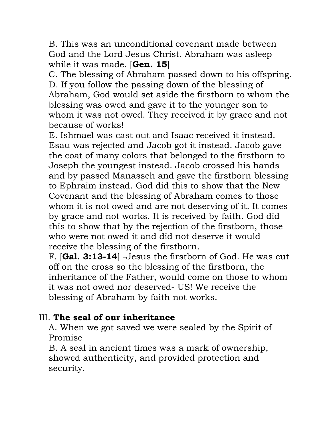B. This was an unconditional covenant made between God and the Lord Jesus Christ. Abraham was asleep while it was made. [**Gen. 15**]

C. The blessing of Abraham passed down to his offspring. D. If you follow the passing down of the blessing of Abraham, God would set aside the firstborn to whom the blessing was owed and gave it to the younger son to whom it was not owed. They received it by grace and not because of works!

E. Ishmael was cast out and Isaac received it instead. Esau was rejected and Jacob got it instead. Jacob gave the coat of many colors that belonged to the firstborn to Joseph the youngest instead. Jacob crossed his hands and by passed Manasseh and gave the firstborn blessing to Ephraim instead. God did this to show that the New Covenant and the blessing of Abraham comes to those whom it is not owed and are not deserving of it. It comes by grace and not works. It is received by faith. God did this to show that by the rejection of the firstborn, those who were not owed it and did not deserve it would receive the blessing of the firstborn.

F. [**Gal. 3:13-14**] -Jesus the firstborn of God. He was cut off on the cross so the blessing of the firstborn, the inheritance of the Father, would come on those to whom it was not owed nor deserved- US! We receive the blessing of Abraham by faith not works.

## III. **The seal of our inheritance**

A. When we got saved we were sealed by the Spirit of Promise

B. A seal in ancient times was a mark of ownership, showed authenticity, and provided protection and security.